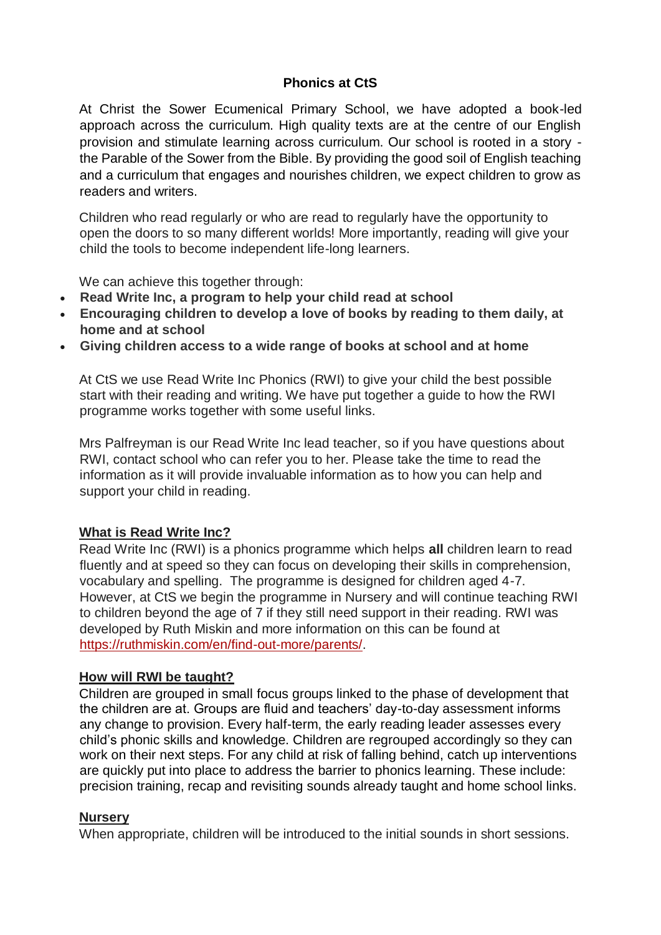# **Phonics at CtS**

At Christ the Sower Ecumenical Primary School, we have adopted a book-led approach across the curriculum. High quality texts are at the centre of our English provision and stimulate learning across curriculum. Our school is rooted in a story the Parable of the Sower from the Bible. By providing the good soil of English teaching and a curriculum that engages and nourishes children, we expect children to grow as readers and writers.

Children who read regularly or who are read to regularly have the opportunity to open the doors to so many different worlds! More importantly, reading will give your child the tools to become independent life-long learners.

We can achieve this together through:

- **Read Write Inc, a program to help your child read at school**
- **Encouraging children to develop a love of books by reading to them daily, at home and at school**
- **Giving children access to a wide range of books at school and at home**

At CtS we use Read Write Inc Phonics (RWI) to give your child the best possible start with their reading and writing. We have put together a guide to how the RWI programme works together with some useful links.

Mrs Palfreyman is our Read Write Inc lead teacher, so if you have questions about RWI, contact school who can refer you to her. Please take the time to read the information as it will provide invaluable information as to how you can help and support your child in reading.

# **What is Read Write Inc?**

Read Write Inc (RWI) is a phonics programme which helps **all** children learn to read fluently and at speed so they can focus on developing their skills in comprehension, vocabulary and spelling. The programme is designed for children aged 4-7. However, at CtS we begin the programme in Nursery and will continue teaching RWI to children beyond the age of 7 if they still need support in their reading. RWI was developed by Ruth Miskin and more information on this can be found a[t](https://ruthmiskin.com/en/find-out-more/parents/) [https://ruthmiskin.com/en/find-out-more/parents/.](https://ruthmiskin.com/en/find-out-more/parents/)

# **How will RWI be taught?**

Children are grouped in small focus groups linked to the phase of development that the children are at. Groups are fluid and teachers' day-to-day assessment informs any change to provision. Every half-term, the early reading leader assesses every child's phonic skills and knowledge. Children are regrouped accordingly so they can work on their next steps. For any child at risk of falling behind, catch up interventions are quickly put into place to address the barrier to phonics learning. These include: precision training, recap and revisiting sounds already taught and home school links.

# **Nursery**

When appropriate, children will be introduced to the initial sounds in short sessions.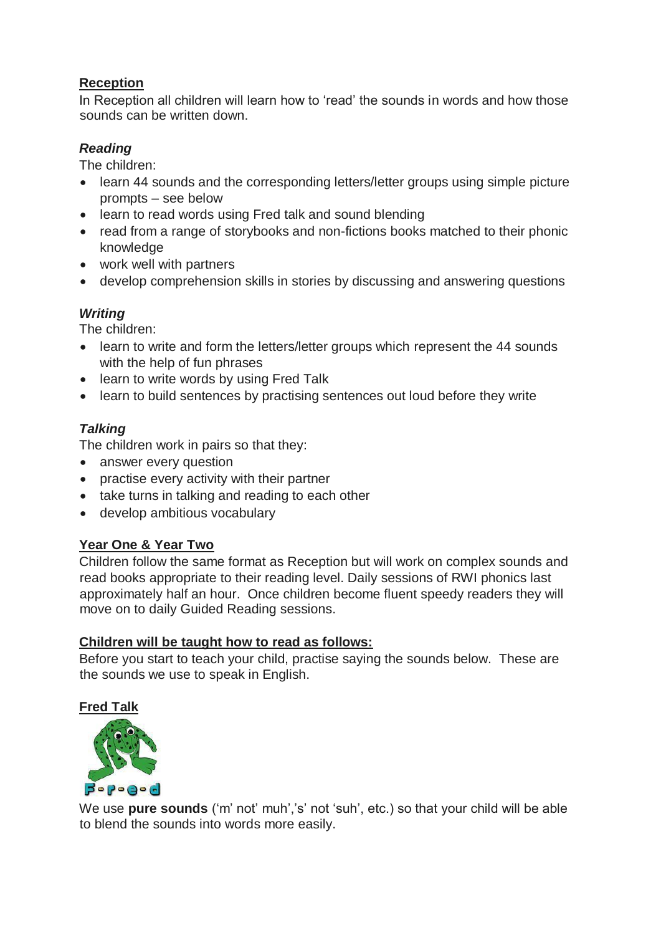# **Reception**

In Reception all children will learn how to 'read' the sounds in words and how those sounds can be written down.

# *Reading*

The children:

- learn 44 sounds and the corresponding letters/letter groups using simple picture prompts – see below
- learn to read words using Fred talk and sound blending
- read from a range of storybooks and non-fictions books matched to their phonic knowledge
- work well with partners
- develop comprehension skills in stories by discussing and answering questions

# *Writing*

The children:

- learn to write and form the letters/letter groups which represent the 44 sounds with the help of fun phrases
- learn to write words by using Fred Talk
- learn to build sentences by practising sentences out loud before they write

# *Talking*

The children work in pairs so that they:

- answer every question
- practise every activity with their partner
- take turns in talking and reading to each other
- develop ambitious vocabulary

# **Year One & Year Two**

Children follow the same format as Reception but will work on complex sounds and read books appropriate to their reading level. Daily sessions of RWI phonics last approximately half an hour. Once children become fluent speedy readers they will move on to daily Guided Reading sessions.

# **Children will be taught how to read as follows:**

Before you start to teach your child, practise saying the sounds below. These are the sounds we use to speak in English.





We use **pure sounds** ('m' not' muh', 's' not 'suh', etc.) so that your child will be able to blend the sounds into words more easily.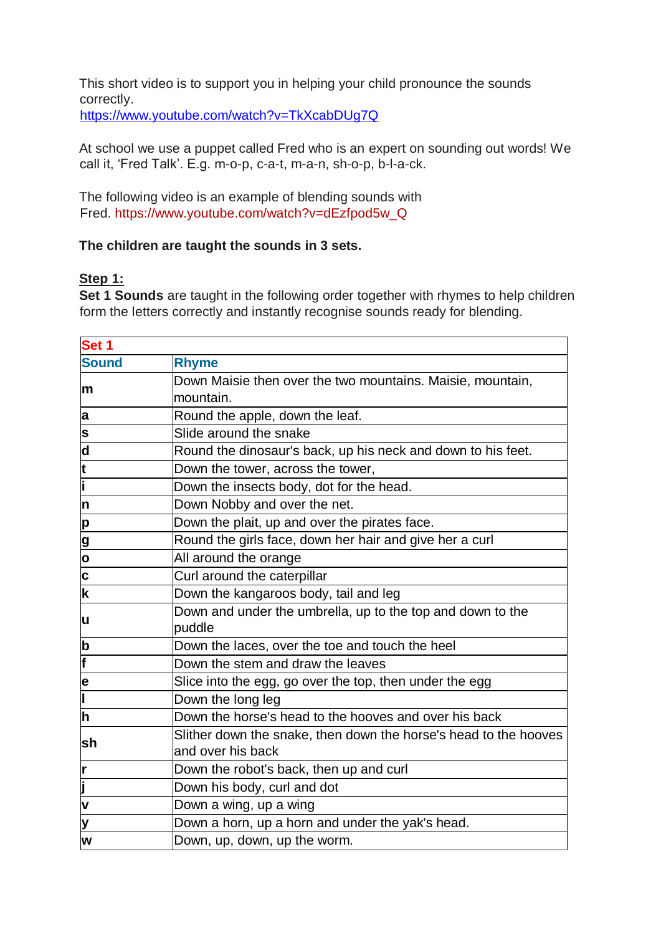This short video is to support you in helping your child pronounce the sounds correctly. <https://www.youtube.com/watch?v=TkXcabDUg7Q>

At school we use a puppet called Fred who is an expert on sounding out words! We call it, 'Fred Talk'. E.g. m-o-p, c-a-t, m-a-n, sh-o-p, b-l-a-ck.

The following video is an example of blending sounds with Fred. [https://www.youtube.com/watch?v=dEzfpod5w\\_Q](https://www.youtube.com/watch?v=dEzfpod5w_Q)

# **The children are taught the sounds in 3 sets.**

# **Step 1:**

**Set 1 Sounds** are taught in the following order together with rhymes to help children form the letters correctly and instantly recognise sounds ready for blending.

| Set 1                   |                                                                  |  |  |  |
|-------------------------|------------------------------------------------------------------|--|--|--|
| <b>Sound</b>            | <b>Rhyme</b>                                                     |  |  |  |
| m                       | Down Maisie then over the two mountains. Maisie, mountain,       |  |  |  |
|                         | mountain.                                                        |  |  |  |
| a                       | Round the apple, down the leaf.                                  |  |  |  |
| S                       | Slide around the snake                                           |  |  |  |
| $\overline{\mathtt{a}}$ | Round the dinosaur's back, up his neck and down to his feet.     |  |  |  |
| t                       | Down the tower, across the tower,                                |  |  |  |
| Īī                      | Down the insects body, dot for the head.                         |  |  |  |
| $\mathsf{I}$            | Down Nobby and over the net.                                     |  |  |  |
| $\overline{\mathsf{p}}$ | Down the plait, up and over the pirates face.                    |  |  |  |
|                         | Round the girls face, down her hair and give her a curl          |  |  |  |
| $\frac{9}{0}$           | All around the orange                                            |  |  |  |
| $\frac{c}{k}$           | Curl around the caterpillar                                      |  |  |  |
|                         | Down the kangaroos body, tail and leg                            |  |  |  |
| lu                      | Down and under the umbrella, up to the top and down to the       |  |  |  |
|                         | puddle                                                           |  |  |  |
| b                       | Down the laces, over the toe and touch the heel                  |  |  |  |
| F                       | Down the stem and draw the leaves                                |  |  |  |
| $\frac{e}{1}$           | Slice into the egg, go over the top, then under the egg          |  |  |  |
|                         | Down the long leg                                                |  |  |  |
| h                       | Down the horse's head to the hooves and over his back            |  |  |  |
| lsh                     | Slither down the snake, then down the horse's head to the hooves |  |  |  |
|                         | and over his back                                                |  |  |  |
| r                       | Down the robot's back, then up and curl                          |  |  |  |
| $\overline{\mathbf{j}}$ | Down his body, curl and dot                                      |  |  |  |
| $\overline{\mathsf{v}}$ | Down a wing, up a wing                                           |  |  |  |
| $\overline{\mathbf{y}}$ | Down a horn, up a horn and under the yak's head.                 |  |  |  |
| W                       | Down, up, down, up the worm.                                     |  |  |  |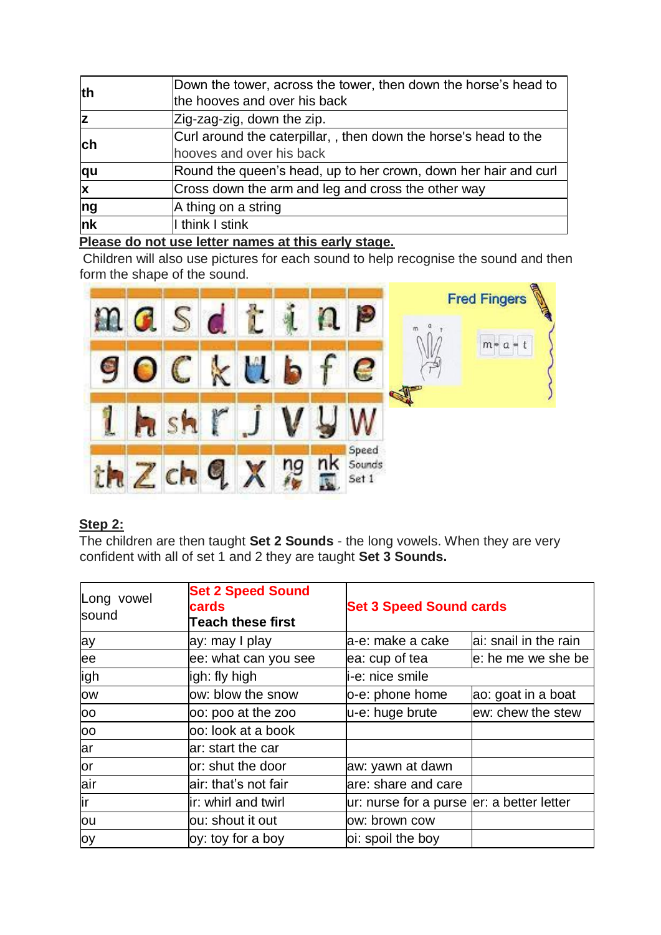| th                                | Down the tower, across the tower, then down the horse's head to |  |  |
|-----------------------------------|-----------------------------------------------------------------|--|--|
|                                   | the hooves and over his back                                    |  |  |
| Iz                                | Zig-zag-zig, down the zip.                                      |  |  |
| <b>ch</b>                         | Curl around the caterpillar,, then down the horse's head to the |  |  |
|                                   | hooves and over his back                                        |  |  |
| qu                                | Round the queen's head, up to her crown, down her hair and curl |  |  |
| $\mathbf{x}$                      | Cross down the arm and leg and cross the other way              |  |  |
| ng                                | A thing on a string                                             |  |  |
| $\overline{\mathsf{h}\mathsf{k}}$ | I think I stink                                                 |  |  |
|                                   |                                                                 |  |  |

### **Please do not use letter names at this early stage.**

Children will also use pictures for each sound to help recognise the sound and then form the shape of the sound.



# **Step 2:**

The children are then taught **Set 2 Sounds** - the long vowels. When they are very confident with all of set 1 and 2 they are taught **Set 3 Sounds.**

| Long vowel<br>sound | <b>Set 2 Speed Sound</b><br>cards<br><b>Teach these first</b> | <b>Set 3 Speed Sound cards</b>            |                       |
|---------------------|---------------------------------------------------------------|-------------------------------------------|-----------------------|
| lay                 | ay: may I play                                                | la-e: make a cake                         | ai: snail in the rain |
| lee                 | ee: what can you see                                          | ea: cup of tea                            | e: he me we she be    |
| ligh                | igh: fly high                                                 | i-e: nice smile                           |                       |
| <b>OW</b>           | ow: blow the snow                                             | o-e: phone home                           | ao: goat in a boat    |
| <b>OO</b>           | oo: poo at the zoo                                            | u-e: huge brute                           | ew: chew the stew     |
| <b>OO</b>           | oo: look at a book                                            |                                           |                       |
| lar                 | ar: start the car                                             |                                           |                       |
| lor                 | or: shut the door                                             | aw: yawn at dawn                          |                       |
| air                 | air: that's not fair                                          | are: share and care                       |                       |
| lir                 | ir: whirl and twirl                                           | ur: nurse for a purse er: a better letter |                       |
| ou                  | ou: shout it out                                              | ow: brown cow                             |                       |
| loy                 | oy: toy for a boy                                             | oi: spoil the boy                         |                       |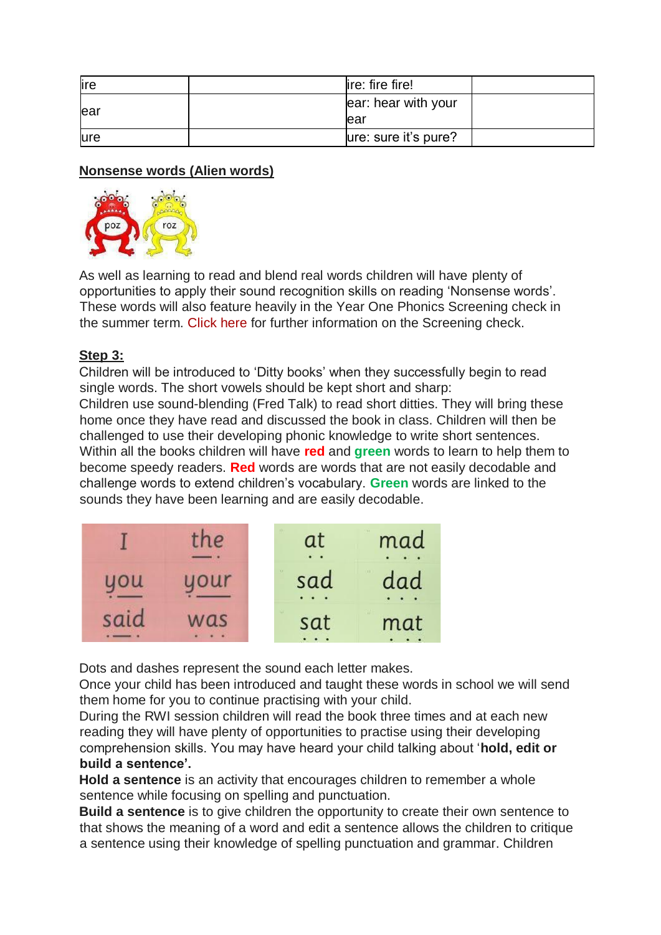| lire | lire: fire fire!         |  |
|------|--------------------------|--|
| lear | ear: hear with your      |  |
|      | lear                     |  |
| lure | $ $ ure: sure it's pure? |  |

### **Nonsense words (Alien words)**



As well as learning to read and blend real words children will have plenty of opportunities to apply their sound recognition skills on reading 'Nonsense words'. These words will also feature heavily in the Year One Phonics Screening check in the summer term. [Click](https://home.oxfordowl.co.uk/at-school/primary-school-assessment-tests/year-1-phonics-screening-check/) [here](https://home.oxfordowl.co.uk/at-school/primary-school-assessment-tests/year-1-phonics-screening-check/) for further information on the Screening check.

# **Step 3:**

Children will be introduced to 'Ditty books' when they successfully begin to read single words. The short vowels should be kept short and sharp: Children use sound-blending (Fred Talk) to read short ditties. They will bring these home once they have read and discussed the book in class. Children will then be challenged to use their developing phonic knowledge to write short sentences. Within all the books children will have **red** and **green** words to learn to help them to become speedy readers. **Red** words are words that are not easily decodable and challenge words to extend children's vocabulary. **Green** words are linked to the sounds they have been learning and are easily decodable.



Dots and dashes represent the sound each letter makes.

Once your child has been introduced and taught these words in school we will send them home for you to continue practising with your child.

During the RWI session children will read the book three times and at each new reading they will have plenty of opportunities to practise using their developing comprehension skills. You may have heard your child talking about '**hold, edit or build a sentence'.**

**Hold a sentence** is an activity that encourages children to remember a whole sentence while focusing on spelling and punctuation.

**Build a sentence** is to give children the opportunity to create their own sentence to that shows the meaning of a word and edit a sentence allows the children to critique a sentence using their knowledge of spelling punctuation and grammar. Children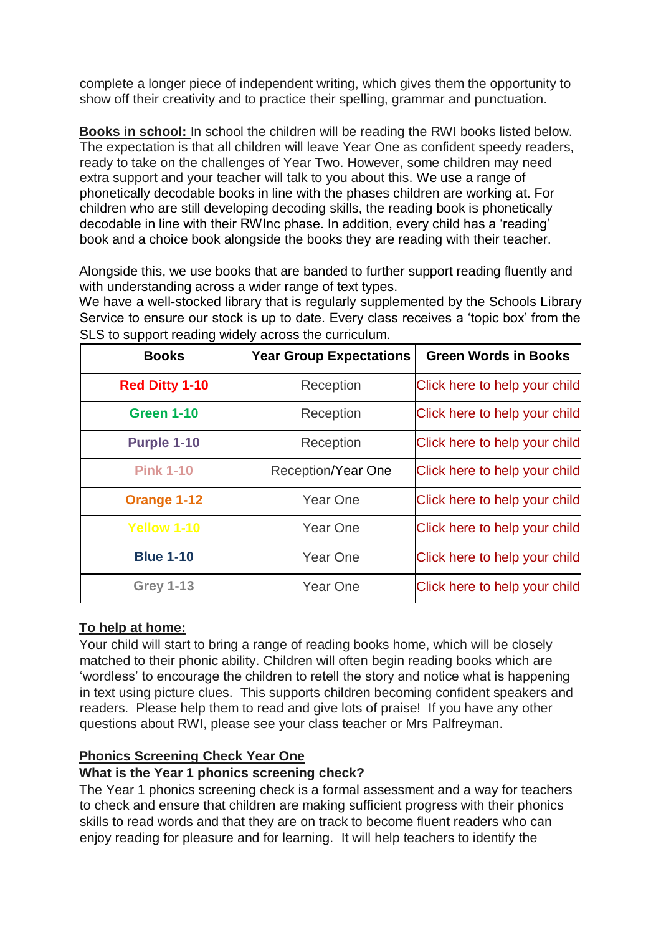complete a longer piece of independent writing, which gives them the opportunity to show off their creativity and to practice their spelling, grammar and punctuation.

**Books in school:** In school the children will be reading the RWI books listed below. The expectation is that all children will leave Year One as confident speedy readers, ready to take on the challenges of Year Two. However, some children may need extra support and your teacher will talk to you about this. We use a range of phonetically decodable books in line with the phases children are working at. For children who are still developing decoding skills, the reading book is phonetically decodable in line with their RWInc phase. In addition, every child has a 'reading' book and a choice book alongside the books they are reading with their teacher.

Alongside this, we use books that are banded to further support reading fluently and with understanding across a wider range of text types.

We have a well-stocked library that is regularly supplemented by the Schools Library Service to ensure our stock is up to date. Every class receives a 'topic box' from the SLS to support reading widely across the curriculum.

| <b>Books</b>          | <b>Year Group Expectations</b> | <b>Green Words in Books</b>   |
|-----------------------|--------------------------------|-------------------------------|
| <b>Red Ditty 1-10</b> | Reception                      | Click here to help your child |
| <b>Green 1-10</b>     | Reception                      | Click here to help your child |
| Purple 1-10           | Reception                      | Click here to help your child |
| <b>Pink 1-10</b>      | Reception/Year One             | Click here to help your child |
| <b>Orange 1-12</b>    | Year One                       | Click here to help your child |
| <b>Yellow 1-10</b>    | <b>Year One</b>                | Click here to help your child |
| <b>Blue 1-10</b>      | <b>Year One</b>                | Click here to help your child |
| <b>Grey 1-13</b>      | <b>Year One</b>                | Click here to help your child |

# **To help at home:**

Your child will start to bring a range of reading books home, which will be closely matched to their phonic ability. Children will often begin reading books which are 'wordless' to encourage the children to retell the story and notice what is happening in text using picture clues. This supports children becoming confident speakers and readers. Please help them to read and give lots of praise! If you have any other questions about RWI, please see your class teacher or Mrs Palfreyman.

# **Phonics Screening Check Year One**

#### **What is the Year 1 phonics screening check?**

The Year 1 phonics screening check is a formal assessment and a way for teachers to check and ensure that children are making sufficient progress with their phonics skills to read words and that they are on track to become fluent readers who can enjoy reading for pleasure and for learning. It will help teachers to identify the